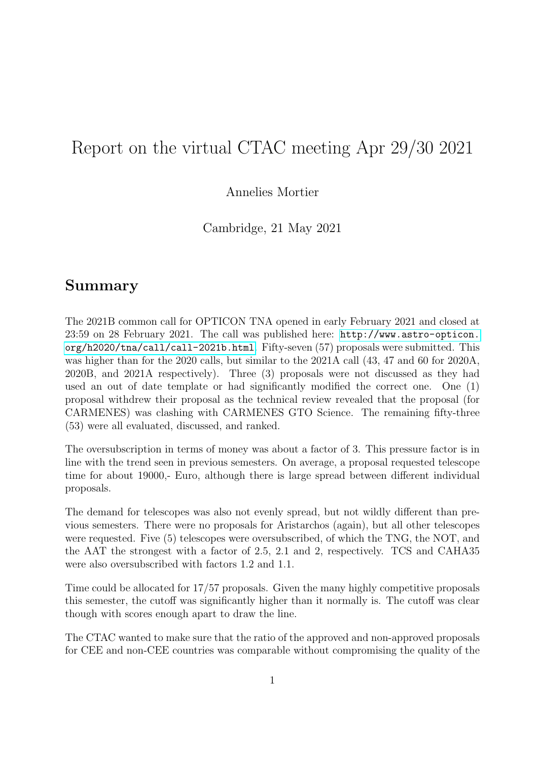## Report on the virtual CTAC meeting Apr 29/30 2021

Annelies Mortier

Cambridge, 21 May 2021

## Summary

The 2021B common call for OPTICON TNA opened in early February 2021 and closed at 23:59 on 28 February 2021. The call was published here: [http://www.astro-opticon.](http://www.astro-opticon.org/h2020/tna/call/call-2021b.html) [org/h2020/tna/call/call-2021b.html](http://www.astro-opticon.org/h2020/tna/call/call-2021b.html). Fifty-seven (57) proposals were submitted. This was higher than for the 2020 calls, but similar to the 2021A call (43, 47 and 60 for 2020A, 2020B, and 2021A respectively). Three (3) proposals were not discussed as they had used an out of date template or had significantly modified the correct one. One (1) proposal withdrew their proposal as the technical review revealed that the proposal (for CARMENES) was clashing with CARMENES GTO Science. The remaining fifty-three (53) were all evaluated, discussed, and ranked.

The oversubscription in terms of money was about a factor of 3. This pressure factor is in line with the trend seen in previous semesters. On average, a proposal requested telescope time for about 19000,- Euro, although there is large spread between different individual proposals.

The demand for telescopes was also not evenly spread, but not wildly different than previous semesters. There were no proposals for Aristarchos (again), but all other telescopes were requested. Five (5) telescopes were oversubscribed, of which the TNG, the NOT, and the AAT the strongest with a factor of 2.5, 2.1 and 2, respectively. TCS and CAHA35 were also oversubscribed with factors 1.2 and 1.1.

Time could be allocated for 17/57 proposals. Given the many highly competitive proposals this semester, the cutoff was significantly higher than it normally is. The cutoff was clear though with scores enough apart to draw the line.

The CTAC wanted to make sure that the ratio of the approved and non-approved proposals for CEE and non-CEE countries was comparable without compromising the quality of the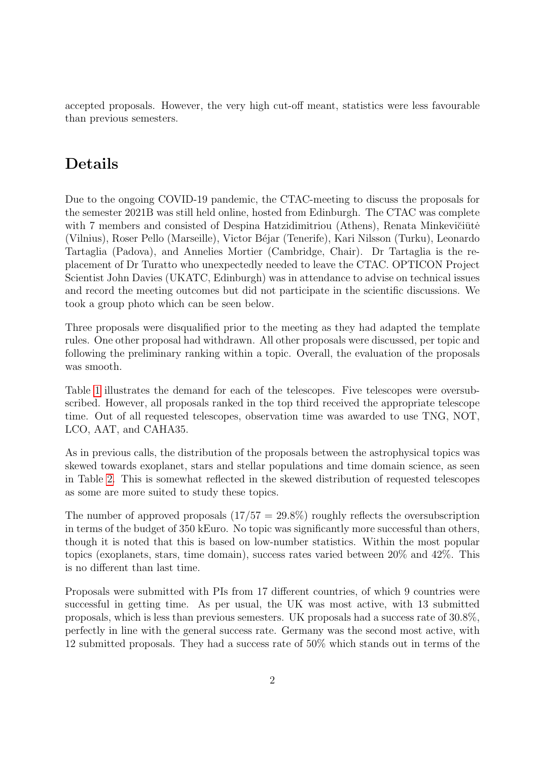accepted proposals. However, the very high cut-off meant, statistics were less favourable than previous semesters.

## Details

Due to the ongoing COVID-19 pandemic, the CTAC-meeting to discuss the proposals for the semester 2021B was still held online, hosted from Edinburgh. The CTAC was complete with 7 members and consisted of Despina Hatzidimitriou (Athens), Renata Minkevičiūtė (Vilnius), Roser Pello (Marseille), Victor B´ejar (Tenerife), Kari Nilsson (Turku), Leonardo Tartaglia (Padova), and Annelies Mortier (Cambridge, Chair). Dr Tartaglia is the replacement of Dr Turatto who unexpectedly needed to leave the CTAC. OPTICON Project Scientist John Davies (UKATC, Edinburgh) was in attendance to advise on technical issues and record the meeting outcomes but did not participate in the scientific discussions. We took a group photo which can be seen below.

Three proposals were disqualified prior to the meeting as they had adapted the template rules. One other proposal had withdrawn. All other proposals were discussed, per topic and following the preliminary ranking within a topic. Overall, the evaluation of the proposals was smooth.

Table [1](#page-2-0) illustrates the demand for each of the telescopes. Five telescopes were oversubscribed. However, all proposals ranked in the top third received the appropriate telescope time. Out of all requested telescopes, observation time was awarded to use TNG, NOT, LCO, AAT, and CAHA35.

As in previous calls, the distribution of the proposals between the astrophysical topics was skewed towards exoplanet, stars and stellar populations and time domain science, as seen in Table [2.](#page-2-1) This is somewhat reflected in the skewed distribution of requested telescopes as some are more suited to study these topics.

The number of approved proposals  $(17/57 = 29.8\%)$  roughly reflects the oversubscription in terms of the budget of 350 kEuro. No topic was significantly more successful than others, though it is noted that this is based on low-number statistics. Within the most popular topics (exoplanets, stars, time domain), success rates varied between 20% and 42%. This is no different than last time.

Proposals were submitted with PIs from 17 different countries, of which 9 countries were successful in getting time. As per usual, the UK was most active, with 13 submitted proposals, which is less than previous semesters. UK proposals had a success rate of 30.8%, perfectly in line with the general success rate. Germany was the second most active, with 12 submitted proposals. They had a success rate of 50% which stands out in terms of the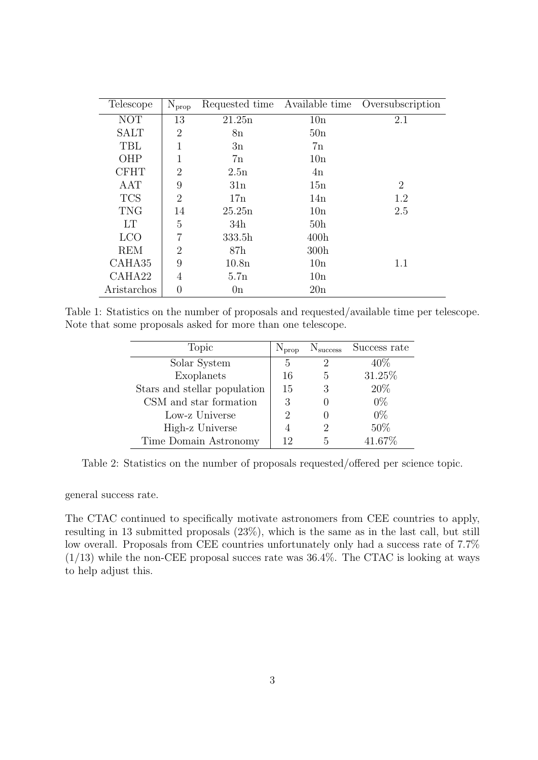| Telescope   | $N_{prop}$       | Requested time    | Available time   | Oversubscription |
|-------------|------------------|-------------------|------------------|------------------|
| <b>NOT</b>  | 13               | 21.25n            | 10n              | 2.1              |
| <b>SALT</b> | $\overline{2}$   | 8n                | 50n              |                  |
| TBL         | 1                | 3n                | 7n               |                  |
| OHP         | 1                | 7n                | 10n              |                  |
| <b>CFHT</b> | $\overline{2}$   | 2.5n              | 4n               |                  |
| AAT         | 9                | 31n               | 15n              | $\overline{2}$   |
| <b>TCS</b>  | $\overline{2}$   | 17n               | 14n              | 1.2              |
| <b>TNG</b>  | 14               | 25.25n            | 10n              | 2.5              |
| <b>LT</b>   | 5                | 34h               | 50 <sub>h</sub>  |                  |
| <b>LCO</b>  | 7                | 333.5h            | 400h             |                  |
| <b>REM</b>  | $\overline{2}$   | 87h               | 300 <sub>h</sub> |                  |
| CAHA35      | 9                | 10.8 <sub>n</sub> | 10n              | 1.1              |
| CAHA22      | 4                | 5.7n              | 10n              |                  |
| Aristarchos | $\left( \right)$ | 0n                | 20n              |                  |

Table 1: Statistics on the number of proposals and requested/available time per telescope. Note that some proposals asked for more than one telescope.

<span id="page-2-0"></span>

| Topic                        | $N_{\text{prop}}$ | $N_{\rm success}$ | Success rate |
|------------------------------|-------------------|-------------------|--------------|
| Solar System                 | 5                 | 2                 | $40\%$       |
| Exoplanets                   | 16                | 5                 | 31.25%       |
| Stars and stellar population | 15                | 3                 | 20%          |
| CSM and star formation       | 3                 |                   | $0\%$        |
| Low-z Universe               |                   |                   | $0\%$        |
| High-z Universe              |                   |                   | 50%          |
| Time Domain Astronomy        | 12                | 5                 | 41.67%       |

<span id="page-2-1"></span>Table 2: Statistics on the number of proposals requested/offered per science topic.

general success rate.

The CTAC continued to specifically motivate astronomers from CEE countries to apply, resulting in 13 submitted proposals (23%), which is the same as in the last call, but still low overall. Proposals from CEE countries unfortunately only had a success rate of 7.7%  $(1/13)$  while the non-CEE proposal succes rate was 36.4%. The CTAC is looking at ways to help adjust this.